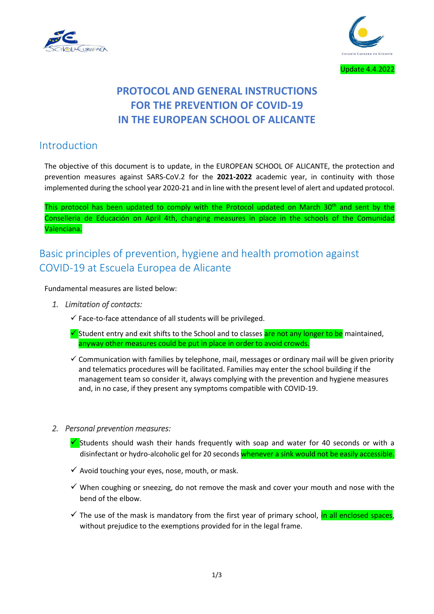



# **PROTOCOL AND GENERAL INSTRUCTIONS FOR THE PREVENTION OF COVID-19 IN THE EUROPEAN SCHOOL OF ALICANTE**

### Introduction

The objective of this document is to update, in the EUROPEAN SCHOOL OF ALICANTE, the protection and prevention measures against SARS-CoV.2 for the **2021-2022** academic year, in continuity with those implemented during the school year 2020-21 and in line with the present level of alert and updated protocol.

This protocol has been updated to comply with the Protocol updated on March 30<sup>th</sup> and sent by the Conselleria de Educación on April 4th, changing measures in place in the schools of the Comunidad Valenciana.

## Basic principles of prevention, hygiene and health promotion against COVID-19 at Escuela Europea de Alicante

Fundamental measures are listed below:

- *1. Limitation of contacts:* 
	- $\checkmark$  Face-to-face attendance of all students will be privileged.
	- $\checkmark$  Student entry and exit shifts to the School and to classes are not any longer to be maintained. anyway other measures could be put in place in order to avoid crowds.
	- $\checkmark$  Communication with families by telephone, mail, messages or ordinary mail will be given priority and telematics procedures will be facilitated. Families may enter the school building if the management team so consider it, always complying with the prevention and hygiene measures and, in no case, if they present any symptoms compatible with COVID-19.

#### *2. Personal prevention measures:*

- Students should wash their hands frequently with soap and water for 40 seconds or with a disinfectant or hydro-alcoholic gel for 20 seconds whenever a sink would not be easily accessible.
- $\checkmark$  Avoid touching your eyes, nose, mouth, or mask.
- $\checkmark$  When coughing or sneezing, do not remove the mask and cover your mouth and nose with the bend of the elbow.
- $\checkmark$  The use of the mask is mandatory from the first year of primary school, in all enclosed spaces, without prejudice to the exemptions provided for in the legal frame.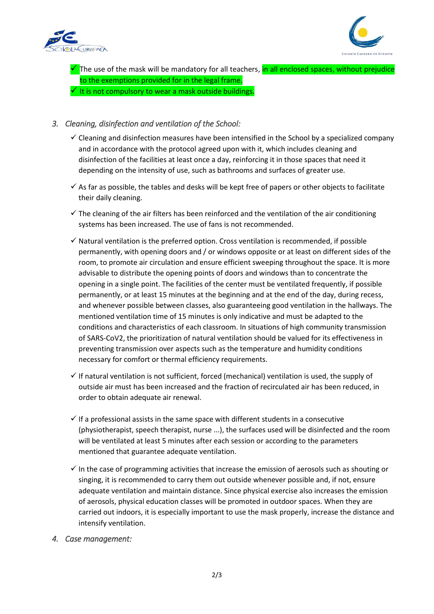



 $\checkmark$  The use of the mask will be mandatory for all teachers, in all enclosed spaces, without prejudice to the exemptions provided for in the legal frame.  $\checkmark$  It is not compulsory to wear a mask outside buildings.

#### *3. Cleaning, disinfection and ventilation of the School:*

- $\checkmark$  Cleaning and disinfection measures have been intensified in the School by a specialized company and in accordance with the protocol agreed upon with it, which includes cleaning and disinfection of the facilities at least once a day, reinforcing it in those spaces that need it depending on the intensity of use, such as bathrooms and surfaces of greater use.
- $\checkmark$  As far as possible, the tables and desks will be kept free of papers or other objects to facilitate their daily cleaning.
- $\checkmark$  The cleaning of the air filters has been reinforced and the ventilation of the air conditioning systems has been increased. The use of fans is not recommended.
- $\checkmark$  Natural ventilation is the preferred option. Cross ventilation is recommended, if possible permanently, with opening doors and / or windows opposite or at least on different sides of the room, to promote air circulation and ensure efficient sweeping throughout the space. It is more advisable to distribute the opening points of doors and windows than to concentrate the opening in a single point. The facilities of the center must be ventilated frequently, if possible permanently, or at least 15 minutes at the beginning and at the end of the day, during recess, and whenever possible between classes, also guaranteeing good ventilation in the hallways. The mentioned ventilation time of 15 minutes is only indicative and must be adapted to the conditions and characteristics of each classroom. In situations of high community transmission of SARS-CoV2, the prioritization of natural ventilation should be valued for its effectiveness in preventing transmission over aspects such as the temperature and humidity conditions necessary for comfort or thermal efficiency requirements.
- $\checkmark$  If natural ventilation is not sufficient, forced (mechanical) ventilation is used, the supply of outside air must has been increased and the fraction of recirculated air has been reduced, in order to obtain adequate air renewal.
- $\checkmark$  If a professional assists in the same space with different students in a consecutive (physiotherapist, speech therapist, nurse ...), the surfaces used will be disinfected and the room will be ventilated at least 5 minutes after each session or according to the parameters mentioned that guarantee adequate ventilation.
- $\checkmark$  In the case of programming activities that increase the emission of aerosols such as shouting or singing, it is recommended to carry them out outside whenever possible and, if not, ensure adequate ventilation and maintain distance. Since physical exercise also increases the emission of aerosols, physical education classes will be promoted in outdoor spaces. When they are carried out indoors, it is especially important to use the mask properly, increase the distance and intensify ventilation.

#### *4. Case management:*